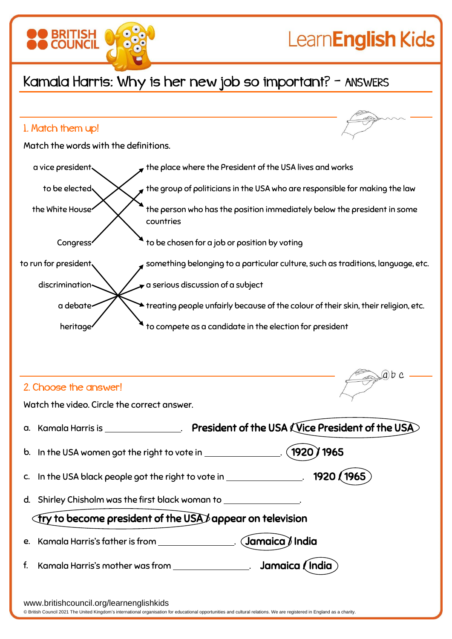

f. Kamala Harris's mother was from **the summan set of the set of the Vindia** 

www.britishcouncil.org/learnenglishkids

© British Council 2021 The United Kingdom's international organisation for educational opportunities and cultural relations. We are registered in England as a charity.